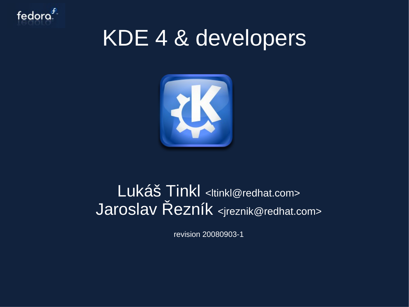

#### KDE 4 & developers



#### Lukáš Tinkl <ltinkl@redhat.com> Jaroslav Řezník <jreznik@redhat.com>

revision 20080903-1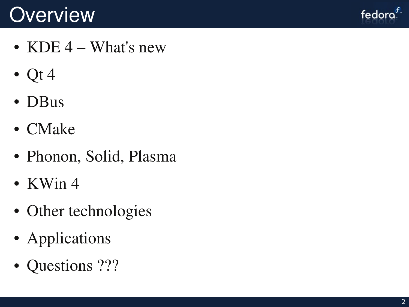#### **Overview**



- KDE  $4$  What's new
- Qt 4
- DBus
- CMake
- Phonon, Solid, Plasma
- KWin  $4$
- Other technologies
- Applications
- Questions ???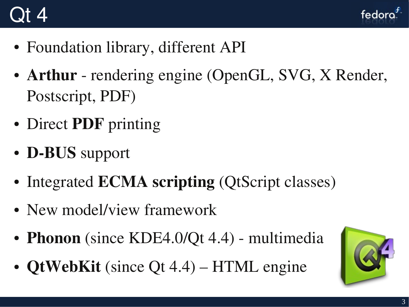#### Qt 4



- Foundation library, different API
- Arthur rendering engine (OpenGL, SVG, X Render, Postscript, PDF)
- Direct PDF printing
- D-BUS support
- Integrated **ECMA** scripting (QtScript classes)
- New model/view framework
- Phonon (since KDE4.0/Qt 4.4) multimedia
- QtWebKit (since Qt 4.4) HTML engine

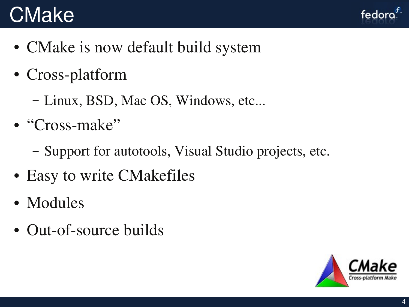#### **CMake**



- CMake is now default build system
- Cross-platform
	- Linux, BSD, Mac OS, Windows, etc...
- $\bullet$  "Cross-make"
	- Support for autotools, Visual Studio projects, etc.
- Easy to write CMakefiles
- Modules
- Out-of-source builds

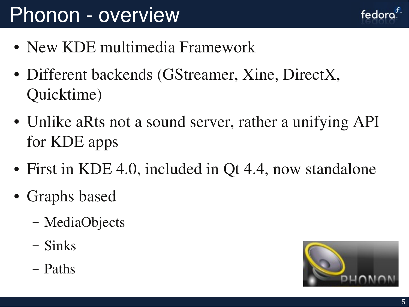### Phonon - overview

- New KDE multimedia Framework
- Different backends (GStreamer, Xine, DirectX. Quicktime)
- Unlike aRts not a sound server, rather a unifying API for KDE apps
- First in KDE 4.0, included in Qt 4.4, now standalone
- Graphs based
	- MediaObjects
	- Sinks
	- Paths

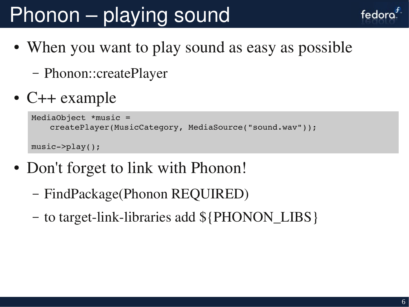# Phonon – playing sound

- When you want to play sound as easy as possible
	- Phonon::createPlayer
- C++ example

```
MediaObject *music = 
    createPlayer(MusicCategory, MediaSource("sound.wav"));
music>play();
```
- Don't forget to link with Phonon!
	- FindPackage(Phonon REQUIRED)
	- to target-link-libraries add  $\{PHONON_LIBS\}$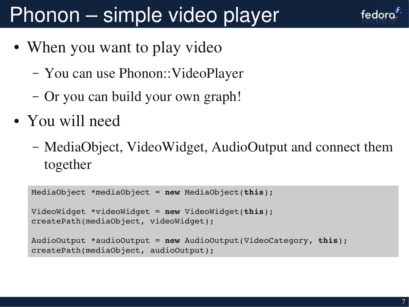# Phonon – simple video player

- When you want to play video
	- You can use Phonon::VideoPlayer
	- Or you can build your own graph!
- You will need
	- MediaObject, VideoWidget, AudioOutput and connect them together

```
MediaObject *mediaObject = new MediaObject(this);
VideoWidget *videoWidget = new VideoWidget(this);
createPath(mediaObject, videoWidget);
AudioOutput *audioOutput = new AudioOutput(VideoCategory, this);
createPath(mediaObject, audioOutput);
```
fedord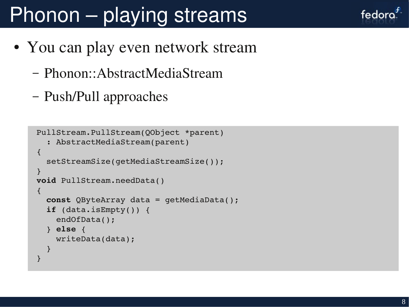# Phonon – playing streams

- You can play even network stream
	- Phonon::AbstractMediaStream
	- Push/Pull approaches

```
PullStream.PullStream(QObject *parent)
     : AbstractMediaStream(parent)
{
     setStreamSize(getMediaStreamSize());
}
void PullStream.needData()
\{   const QByteArray data = getMediaData();
     if (data.isEmpty()) {
         endOfData();
     } else {
         writeData(data);
     }
}
```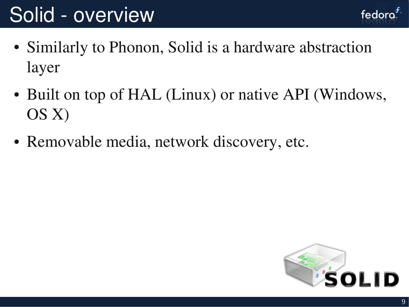### Solid - overview

- fedora<sup>\*</sup>
- Similarly to Phonon, Solid is a hardware abstraction layer
- Built on top of HAL (Linux) or native API (Windows, OS X)
- Removable media, network discovery, etc.

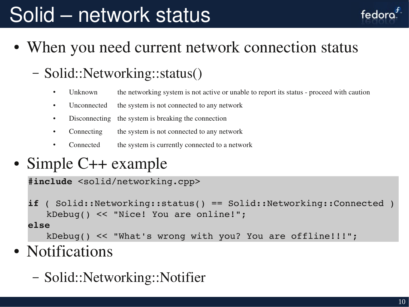## Solid – network status

- fedoro
- When you need current network connection status

#### – Solid::Networking::status()

- Unknown the networking system is not active or unable to report its status proceed with caution
- Unconnected the system is not connected to any network
- Disconnecting the system is breaking the connection
- Connecting the system is not connected to any network
- Connected the system is currently connected to a network
- Simple C++ example

```
#include <solid/networking.cpp>
```
**if** ( Solid::Networking::status( ) == Solid::Networking::Connected ) kDebug() << "Nice! You are online!"; **else**

kDebug() << "What's wrong with you? You are offline!!!";

- Notifications
	- Solid::Networking::Notifier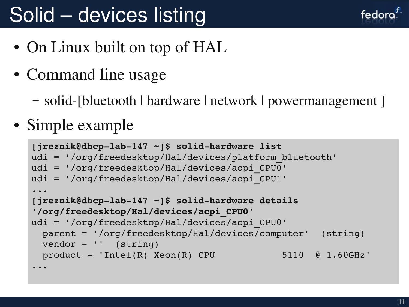## Solid – devices listing

fedora

- On Linux built on top of HAL
- Command line usage
	- solid-[bluetooth | hardware | network | powermanagement ]
- Simple example

```
[jreznik@dhcp-lab-147 ~]$ solid-hardware list
udi = '/org/freedesktop/Hal/devices/platform_bluetooth'        
udi = '/org/freedesktop/Hal/devices/acpi_CPU0'                 
udi = '/org/freedesktop/Hal/devices/acpi_CPU1'
...
[jreznik@dhcp-lab-147 ~]$ solid-hardware details
'/org/freedesktop/Hal/devices/acpi_CPU0'
udi = '/org/freedesktop/Hal/devices/acpi_CPU0'
   parent = '/org/freedesktop/Hal/devices/computer'  (string)
 vendor = '' (string)
  product = 'Intel(R) Xeon(R) CPU 5110 @ 1.60GHz'...
```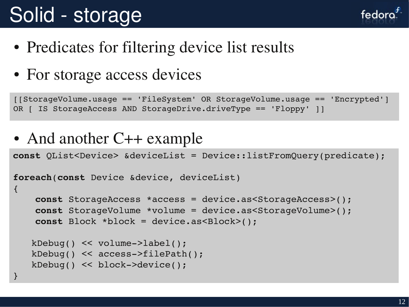## Solid - storage

}

fedoro

- Predicates for filtering device list results
- For storage access devices

[[StorageVolume.usage == 'FileSystem' OR StorageVolume.usage == 'Encrypted'] OR [ IS StorageAccess AND StorageDrive.driveType == 'Floppy' ]]

• And another C++ example

**const** QList<Device> &deviceList = Device::listFromQuery(predicate);

```
foreach(const Device &device, deviceList)
\{    const StorageAccess *access = device.as<StorageAccess>();
        const StorageVolume *volume = device.as<StorageVolume>();
        const Block *block = device.as<Block>();
   kDebug() << volume->label();
   kDebug() << access>filePath();
   kDebug() << block->device();
```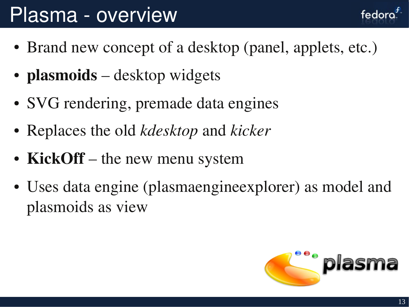#### Plasma - overview

- Brand new concept of a desktop (panel, applets, etc.)
- **plasmoids** desktop widgets
- SVG rendering, premade data engines
- Replaces the old *kdesktop* and *kicker*
- KickOff the new menu system
- Uses data engine (plasmaengineexplorer) as model and plasmoids as view



fedora.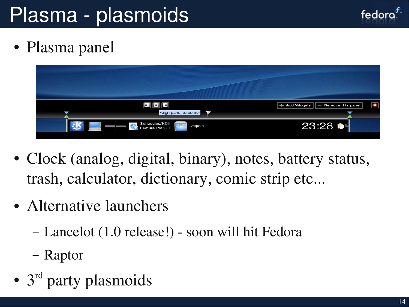## Plasma - plasmoids



• Plasma panel

| e<br>囯                                                                             | $\bullet$<br>+ Add Widgets<br>Remove this panel<br>I |
|------------------------------------------------------------------------------------|------------------------------------------------------|
| Align panel to center                                                              |                                                      |
| Schedules/KDE<br>$\overline{\phantom{a}}$<br>Dolphin<br>$\sqrt{2}$<br>Feature Plan | 23:28                                                |
|                                                                                    |                                                      |

- Clock (analog, digital, binary), notes, battery status, trash, calculator, dictionary, comic strip etc...
- Alternative launchers
	- Lancelot (1.0 release!) soon will hit Fedora
	- Raptor
- 3<sup>rd</sup> party plasmoids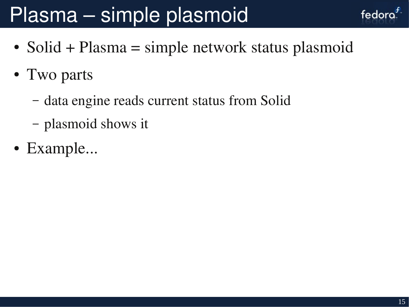## Plasma – simple plasmoid

- Solid + Plasma = simple network status plasmoid
- Two parts
	- data engine reads current status from Solid
	- plasmoid shows it
- Example...

fedora.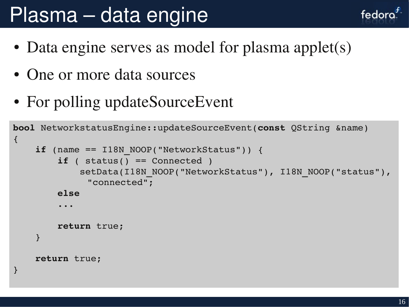#### Plasma – data engine

- Data engine serves as model for plasma applet(s)
- One or more data sources
- For polling updateSourceEvent

```
bool NetworkstatusEngine::updateSourceEvent(const QString &name)
\{if (name == I18N NOOP("NetworkStatus")) {
                 if ( status() == Connected )
              setData(I18N_NOOP("NetworkStatus"), I18N_NOOP("status"),
               "connected";
                 else
        ...
                 return true;
        }
        return true;
}
```
fedord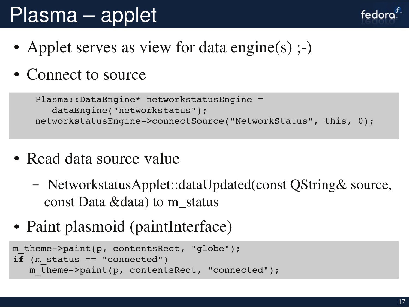# Plasma – applet

- Applet serves as view for data engine(s)  $;-$ )
- Connect to source

```
    Plasma::DataEngine* networkstatusEngine =                        
           dataEngine("networkstatus");
    networkstatusEngine>connectSource("NetworkStatus", this, 0);
```
- Read data source value
	- NetworkstatusApplet::dataUpdated(const QString& source, const Data &data) to m\_status
- Paint plasmoid (paintInterface)

```
m theme->paint(p, contentsRect, "globe");
i\bar{f} (m status == "connected")
   m theme->paint(p, contentsRect, "connected");
```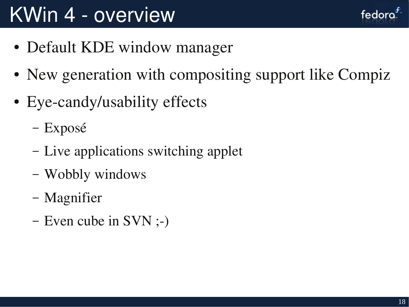## KWin 4 - overview

- Default KDE window manager
- New generation with compositing support like Compiz
- Eye-candy/usability effects
	- Exposé
	- Live applications switching applet
	- Wobbly windows
	- Magnifier
	- Even cube in  $SVN$ ;-)

fedora<sup>"</sup>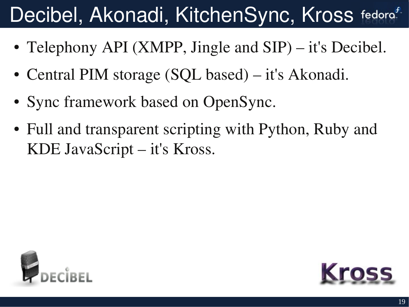# Decibel, Akonadi, KitchenSync, Kross fedora<sup>f</sup>

- Telephony API (XMPP, Jingle and SIP) it's Decibel.
- Central PIM storage (SQL based) it's Akonadi.
- Sync framework based on OpenSync.
- Full and transparent scripting with Python, Ruby and KDE JavaScript – it's Kross.



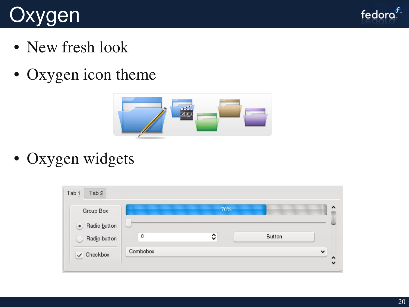# **Oxygen**



- New fresh look
- Oxygen icon theme



• Oxygen widgets

| Group Box             | 70%         |   |        |              |
|-----------------------|-------------|---|--------|--------------|
| • Radio button        |             |   |        |              |
| Radio button          | $\mathbf 0$ | ≎ | Button |              |
| $\checkmark$ Checkbox | Combobox    |   |        | $\checkmark$ |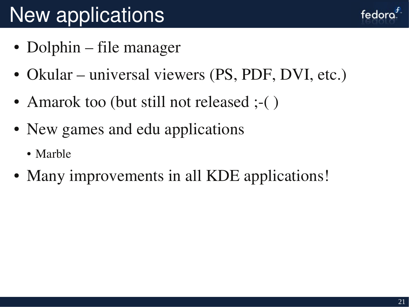# New applications

- Dolphin file manager
- Okular universal viewers (PS, PDF, DVI, etc.)
- Amarok too (but still not released ;-()
- New games and edu applications
	- Marble
- Many improvements in all KDE applications!

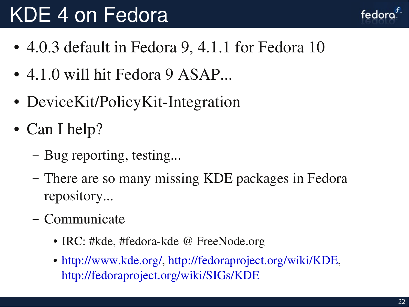## KDE 4 on Fedora

- 4.0.3 default in Fedora 9, 4.1.1 for Fedora 10
- $\bullet$  4.1.0 will hit Fedora 9 ASAP...
- DeviceKit/PolicyKit-Integration
- Can I help?
	- Bug reporting, testing...
	- There are so many missing KDE packages in Fedora repository...
	- Communicate
		- IRC: #kde, #fedora-kde @ FreeNode.org
		- [http://www.kde.org/,](http://www.kde.org/) [http://fedoraproject.org/wiki/KDE,](http://fedoraproject.org/wiki/KDE) <http://fedoraproject.org/wiki/SIGs/KDE>